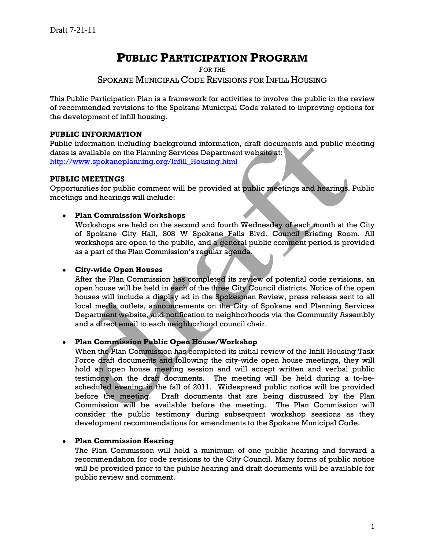# **PUBLIC PARTICIPATION PROGRAM**

FOR THE

## SPOKANE MUNICIPAL CODE REVISIONS FOR INFILL HOUSING

This Public Participation Plan is a framework for activities to involve the public in the review of recommended revisions to the Spokane Municipal Code related to improving options for the development of infill housing.

## **PUBLIC INFORMATION**

Public information including background information, draft documents and public meeting dates is available on the Planning Services Department website at: [http://www.spokaneplanning.org/Infill\\_Housing.html](http://www.spokaneplanning.org/Infill_Housing.html)

#### **PUBLIC MEETINGS**

Opportunities for public comment will be provided at public meetings and hearings. Public meetings and hearings will include:

## **Plan Commission Workshops**

Workshops are held on the second and fourth Wednesday of each month at the City of Spokane City Hall, 808 W Spokane Falls Blvd. Council Briefing Room. All workshops are open to the public, and a general public comment period is provided as a part of the Plan Commission's regular agenda.

#### **City-wide Open Houses**

After the Plan Commission has completed its review of potential code revisions, an open house will be held in each of the three City Council districts. Notice of the open houses will include a display ad in the Spokesman Review, press release sent to all local media outlets, announcements on the City of Spokane and Planning Services Department website, and notification to neighborhoods via the Community Assembly and a direct email to each neighborhood council chair.

## **Plan Commission Public Open House/Workshop**

When the Plan Commission has completed its initial review of the Infill Housing Task Force draft documents and following the city-wide open house meetings, they will hold an open house meeting session and will accept written and verbal public testimony on the draft documents. The meeting will be held during a to-bescheduled evening in the fall of 2011. Widespread public notice will be provided before the meeting. Draft documents that are being discussed by the Plan Commission will be available before the meeting. The Plan Commission will consider the public testimony during subsequent workshop sessions as they development recommendations for amendments to the Spokane Municipal Code.

## **Plan Commission Hearing**

The Plan Commission will hold a minimum of one public hearing and forward a recommendation for code revisions to the City Council. Many forms of public notice will be provided prior to the public hearing and draft documents will be available for public review and comment.